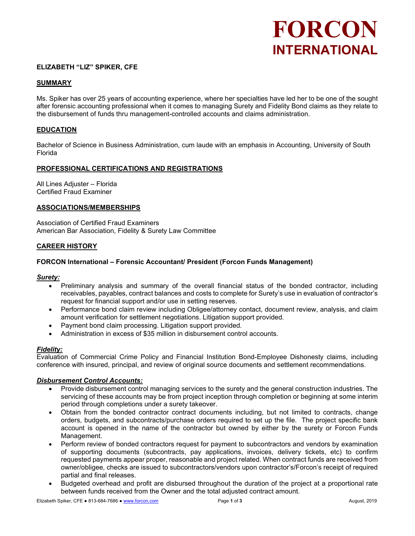# FORCON INTERNATIONAL

# ELIZABETH "LIZ" SPIKER, CFE

# SUMMARY

Ms. Spiker has over 25 years of accounting experience, where her specialties have led her to be one of the sought after forensic accounting professional when it comes to managing Surety and Fidelity Bond claims as they relate to the disbursement of funds thru management-controlled accounts and claims administration.

## EDUCATION

Bachelor of Science in Business Administration, cum laude with an emphasis in Accounting, University of South Florida

#### PROFESSIONAL CERTIFICATIONS AND REGISTRATIONS

All Lines Adjuster – Florida Certified Fraud Examiner

#### ASSOCIATIONS/MEMBERSHIPS

Association of Certified Fraud Examiners American Bar Association, Fidelity & Surety Law Committee

## CAREER HISTORY

## FORCON International – Forensic Accountant/ President (Forcon Funds Management)

#### Surety:

- Preliminary analysis and summary of the overall financial status of the bonded contractor, including receivables, payables, contract balances and costs to complete for Surety's use in evaluation of contractor's request for financial support and/or use in setting reserves.
- Performance bond claim review including Obligee/attorney contact, document review, analysis, and claim amount verification for settlement negotiations. Litigation support provided.
- Payment bond claim processing. Litigation support provided.
- Administration in excess of \$35 million in disbursement control accounts.

#### Fidelity:

Evaluation of Commercial Crime Policy and Financial Institution Bond-Employee Dishonesty claims, including conference with insured, principal, and review of original source documents and settlement recommendations.

#### Disbursement Control Accounts:

- Provide disbursement control managing services to the surety and the general construction industries. The servicing of these accounts may be from project inception through completion or beginning at some interim period through completions under a surety takeover.
- Obtain from the bonded contractor contract documents including, but not limited to contracts, change orders, budgets, and subcontracts/purchase orders required to set up the file. The project specific bank account is opened in the name of the contractor but owned by either by the surety or Forcon Funds Management.
- Perform review of bonded contractors request for payment to subcontractors and vendors by examination of supporting documents (subcontracts, pay applications, invoices, delivery tickets, etc) to confirm requested payments appear proper, reasonable and project related. When contract funds are received from owner/obligee, checks are issued to subcontractors/vendors upon contractor's/Forcon's receipt of required partial and final releases.
- Budgeted overhead and profit are disbursed throughout the duration of the project at a proportional rate between funds received from the Owner and the total adjusted contract amount.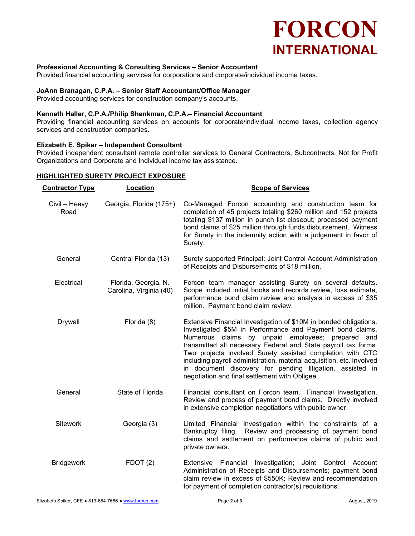

# Professional Accounting & Consulting Services – Senior Accountant

Provided financial accounting services for corporations and corporate/individual income taxes.

# JoAnn Branagan, C.P.A. – Senior Staff Accountant/Office Manager

Provided accounting services for construction company's accounts.

#### Kenneth Haller, C.P.A./Philip Shenkman, C.P.A.– Financial Accountant

Providing financial accounting services on accounts for corporate/individual income taxes, collection agency services and construction companies.

# Elizabeth E. Spiker – Independent Consultant

Provided independent consultant remote controller services to General Contractors, Subcontracts, Not for Profit Organizations and Corporate and Individual income tax assistance.

# HIGHLIGHTED SURETY PROJECT EXPOSURE

| <b>Contractor Type</b> | Location                                        | <b>Scope of Services</b>                                                                                                                                                                                                                                                                                                                                                                                                                                                                                   |
|------------------------|-------------------------------------------------|------------------------------------------------------------------------------------------------------------------------------------------------------------------------------------------------------------------------------------------------------------------------------------------------------------------------------------------------------------------------------------------------------------------------------------------------------------------------------------------------------------|
| Civil - Heavy<br>Road  | Georgia, Florida (175+)                         | Co-Managed Forcon accounting and construction team for<br>completion of 45 projects totaling \$260 million and 152 projects<br>totaling \$137 million in punch list closeout; processed payment<br>bond claims of \$25 million through funds disbursement. Witness<br>for Surety in the indemnity action with a judgement in favor of<br>Surety.                                                                                                                                                           |
| General                | Central Florida (13)                            | Surety supported Principal: Joint Control Account Administration<br>of Receipts and Disbursements of \$18 million.                                                                                                                                                                                                                                                                                                                                                                                         |
| Electrical             | Florida, Georgia, N.<br>Carolina, Virginia (40) | Forcon team manager assisting Surety on several defaults.<br>Scope included initial books and records review, loss estimate,<br>performance bond claim review and analysis in excess of \$35<br>million. Payment bond claim review.                                                                                                                                                                                                                                                                        |
| Drywall                | Florida (8)                                     | Extensive Financial Investigation of \$10M in bonded obligations.<br>Investigated \$5M in Performance and Payment bond claims.<br>Numerous claims by unpaid employees; prepared and<br>transmitted all necessary Federal and State payroll tax forms.<br>Two projects involved Surety assisted completion with CTC<br>including payroll administration, material acquisition, etc. Involved<br>in document discovery for pending litigation, assisted in<br>negotiation and final settlement with Obligee. |
| General                | State of Florida                                | Financial consultant on Forcon team. Financial Investigation.<br>Review and process of payment bond claims. Directly involved<br>in extensive completion negotiations with public owner.                                                                                                                                                                                                                                                                                                                   |
| <b>Sitework</b>        | Georgia (3)                                     | Limited Financial Investigation within the constraints of a<br>Bankruptcy filing. Review and processing of payment bond<br>claims and settlement on performance claims of public and<br>private owners.                                                                                                                                                                                                                                                                                                    |
| <b>Bridgework</b>      | FDOT(2)                                         | Extensive Financial<br>Investigation;<br>Joint Control Account<br>Administration of Receipts and Disbursements; payment bond<br>claim review in excess of \$550K; Review and recommendation<br>for payment of completion contractor(s) requisitions.                                                                                                                                                                                                                                                       |